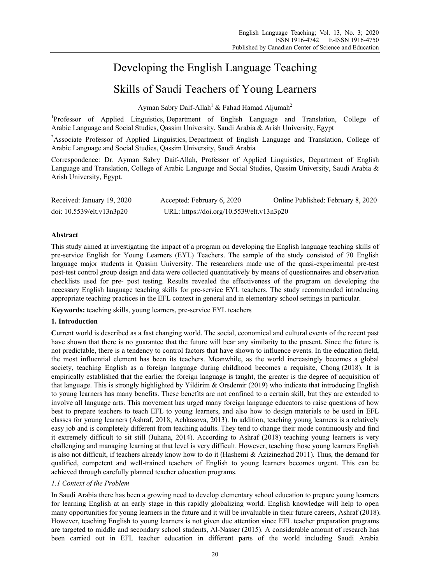# Developing the English Language Teaching

## Skills of Saudi Teachers of Young Learners

Ayman Sabry Daif-Allah<sup>1</sup> & Fahad Hamad Aljumah<sup>2</sup>

<sup>1</sup>Professor of Applied Linguistics, Department of English Language and Translation, College of Arabic Language and Social Studies, Qassim University, Saudi Arabia & Arish University, Egypt

<sup>2</sup>Associate Professor of Applied Linguistics, Department of English Language and Translation, College of Arabic Language and Social Studies, Qassim University, Saudi Arabia

Correspondence: Dr. Ayman Sabry Daif-Allah, Professor of Applied Linguistics, Department of English Language and Translation, College of Arabic Language and Social Studies, Qassim University, Saudi Arabia & Arish University, Egypt.

| Received: January 19, 2020 | Accepted: February 6, 2020                | Online Published: February 8, 2020 |
|----------------------------|-------------------------------------------|------------------------------------|
| doi: 10.5539/elt.v13n3p20  | URL: https://doi.org/10.5539/elt.v13n3p20 |                                    |

## **Abstract**

This study aimed at investigating the impact of a program on developing the English language teaching skills of pre-service English for Young Learners (EYL) Teachers. The sample of the study consisted of 70 English language major students in Qassim University. The researchers made use of the quasi-experimental pre-test post-test control group design and data were collected quantitatively by means of questionnaires and observation checklists used for pre- post testing. Results revealed the effectiveness of the program on developing the necessary English language teaching skills for pre-service EYL teachers. The study recommended introducing appropriate teaching practices in the EFL context in general and in elementary school settings in particular.

**Keywords:** teaching skills, young learners, pre-service EYL teachers

## **1. Introduction**

**C**urrent world is described as a fast changing world. The social, economical and cultural events of the recent past have shown that there is no guarantee that the future will bear any similarity to the present. Since the future is not predictable, there is a tendency to control factors that have shown to influence events. In the education field, the most influential element has been its teachers. Meanwhile, as the world increasingly becomes a global society, teaching English as a foreign language during childhood becomes a requisite, Chong (2018). It is empirically established that the earlier the foreign language is taught, the greater is the degree of acquisition of that language. This is strongly highlighted by Yildirim & Orsdemir (2019) who indicate that introducing English to young learners has many benefits. These benefits are not confined to a certain skill, but they are extended to involve all language arts. This movement has urged many foreign language educators to raise questions of how best to prepare teachers to teach EFL to young learners, and also how to design materials to be used in EFL classes for young learners (Ashraf, 2018; Achkasova, 2013). In addition, teaching young learners is a relatively easy job and is completely different from teaching adults. They tend to change their mode continuously and find it extremely difficult to sit still (Juhana, 2014). According to Ashraf (2018) teaching young learners is very challenging and managing learning at that level is very difficult. However, teaching those young learners English is also not difficult, if teachers already know how to do it (Hashemi & Azizinezhad 2011). Thus, the demand for qualified, competent and well-trained teachers of English to young learners becomes urgent. This can be achieved through carefully planned teacher education programs.

## *1.1 Context of the Problem*

In Saudi Arabia there has been a growing need to develop elementary school education to prepare young learners for learning English at an early stage in this rapidly globalizing world. English knowledge will help to open many opportunities for young learners in the future and it will be invaluable in their future careers, Ashraf (2018). However, teaching English to young learners is not given due attention since EFL teacher preparation programs are targeted to middle and secondary school students, Al-Nasser (2015). A considerable amount of research has been carried out in EFL teacher education in different parts of the world including Saudi Arabia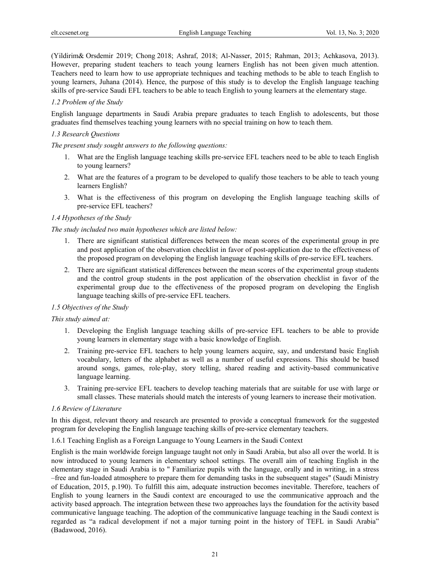(Yildirim& Orsdemir 2019; Chong 2018; Ashraf, 2018; Al-Nasser, 2015; Rahman, 2013; Achkasova, 2013). However, preparing student teachers to teach young learners English has not been given much attention. Teachers need to learn how to use appropriate techniques and teaching methods to be able to teach English to young learners, Juhana (2014). Hence, the purpose of this study is to develop the English language teaching skills of pre-service Saudi EFL teachers to be able to teach English to young learners at the elementary stage.

#### *1.2 Problem of the Study*

English language departments in Saudi Arabia prepare graduates to teach English to adolescents, but those graduates find themselves teaching young learners with no special training on how to teach them.

## *1.3 Research Questions*

*The present study sought answers to the following questions:* 

- 1. What are the English language teaching skills pre-service EFL teachers need to be able to teach English to young learners?
- 2. What are the features of a program to be developed to qualify those teachers to be able to teach young learners English?
- 3. What is the effectiveness of this program on developing the English language teaching skills of pre-service EFL teachers?

#### *1.4 Hypotheses of the Study*

#### *The study included two main hypotheses which are listed below:*

- 1. There are significant statistical differences between the mean scores of the experimental group in pre and post application of the observation checklist in favor of post-application due to the effectiveness of the proposed program on developing the English language teaching skills of pre-service EFL teachers.
- 2. There are significant statistical differences between the mean scores of the experimental group students and the control group students in the post application of the observation checklist in favor of the experimental group due to the effectiveness of the proposed program on developing the English language teaching skills of pre-service EFL teachers.

## *1.5 Objectives of the Study*

#### *This study aimed at:*

- 1. Developing the English language teaching skills of pre-service EFL teachers to be able to provide young learners in elementary stage with a basic knowledge of English.
- 2. Training pre-service EFL teachers to help young learners acquire, say, and understand basic English vocabulary, letters of the alphabet as well as a number of useful expressions. This should be based around songs, games, role-play, story telling, shared reading and activity-based communicative language learning.
- 3. Training pre-service EFL teachers to develop teaching materials that are suitable for use with large or small classes. These materials should match the interests of young learners to increase their motivation.

#### *1.6 Review of Literature*

In this digest, relevant theory and research are presented to provide a conceptual framework for the suggested program for developing the English language teaching skills of pre-service elementary teachers.

1.6.1 Teaching English as a Foreign Language to Young Learners in the Saudi Context

English is the main worldwide foreign language taught not only in Saudi Arabia, but also all over the world. It is now introduced to young learners in elementary school settings. The overall aim of teaching English in the elementary stage in Saudi Arabia is to " Familiarize pupils with the language, orally and in writing, in a stress –free and fun-loaded atmosphere to prepare them for demanding tasks in the subsequent stages" (Saudi Ministry of Education, 2015, p.190). To fulfill this aim, adequate instruction becomes inevitable. Therefore, teachers of English to young learners in the Saudi context are encouraged to use the communicative approach and the activity based approach. The integration between these two approaches lays the foundation for the activity based communicative language teaching. The adoption of the communicative language teaching in the Saudi context is regarded as "a radical development if not a major turning point in the history of TEFL in Saudi Arabia" (Badawood, 2016).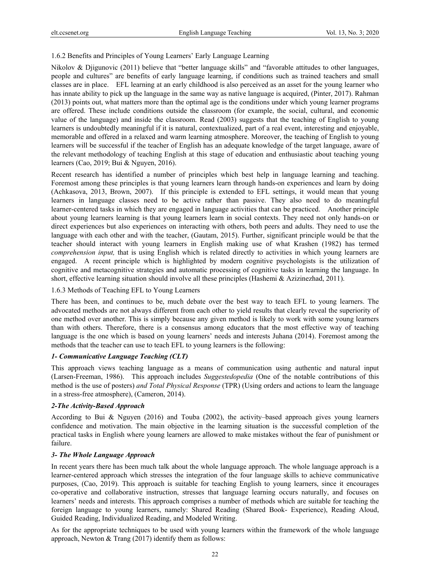## 1.6.2 Benefits and Principles of Young Learners' Early Language Learning

Nikolov & Djigunovic (2011) believe that "better language skills" and "favorable attitudes to other languages, people and cultures" are benefits of early language learning, if conditions such as trained teachers and small classes are in place. EFL learning at an early childhood is also perceived as an asset for the young learner who has innate ability to pick up the language in the same way as native language is acquired, (Pinter, 2017). Rahman (2013) points out, what matters more than the optimal age is the conditions under which young learner programs are offered. These include conditions outside the classroom (for example, the social, cultural, and economic value of the language) and inside the classroom. Read (2003) suggests that the teaching of English to young learners is undoubtedly meaningful if it is natural, contextualized, part of a real event, interesting and enjoyable, memorable and offered in a relaxed and warm learning atmosphere. Moreover, the teaching of English to young learners will be successful if the teacher of English has an adequate knowledge of the target language, aware of the relevant methodology of teaching English at this stage of education and enthusiastic about teaching young learners (Cao, 2019; Bui & Nguyen, 2016).

Recent research has identified a number of principles which best help in language learning and teaching. Foremost among these principles is that young learners learn through hands-on experiences and learn by doing (Achkasova, 2013, Brown, 2007). If this principle is extended to EFL settings, it would mean that young learners in language classes need to be active rather than passive. They also need to do meaningful learner-centered tasks in which they are engaged in language activities that can be practiced. Another principle about young learners learning is that young learners learn in social contexts. They need not only hands-on or direct experiences but also experiences on interacting with others, both peers and adults. They need to use the language with each other and with the teacher, (Gautam, 2015). Further, significant principle would be that the teacher should interact with young learners in English making use of what Krashen (1982) has termed *comprehension input*, that is using English which is related directly to activities in which young learners are engaged. A recent principle which is highlighted by modern cognitive psychologists is the utilization of cognitive and metacognitive strategies and automatic processing of cognitive tasks in learning the language. In short, effective learning situation should involve all these principles (Hashemi & Azizinezhad, 2011).

#### 1.6.3 Methods of Teaching EFL to Young Learners

There has been, and continues to be, much debate over the best way to teach EFL to young learners. The advocated methods are not always different from each other to yield results that clearly reveal the superiority of one method over another. This is simply because any given method is likely to work with some young learners than with others. Therefore, there is a consensus among educators that the most effective way of teaching language is the one which is based on young learners' needs and interests Juhana (2014). Foremost among the methods that the teacher can use to teach EFL to young learners is the following:

## *1- Communicative Language Teaching (CLT)*

This approach views teaching language as a means of communication using authentic and natural input (Larsen-Freeman, 1986). This approach includes *Suggestedopedia* (One of the notable contributions of this method is the use of posters) *and Total Physical Response* (TPR) (Using orders and actions to learn the language in a stress-free atmosphere), (Cameron, 2014).

## *2-The Activity-Based Approach*

According to Bui & Nguyen (2016) and Touba (2002), the activity–based approach gives young learners confidence and motivation. The main objective in the learning situation is the successful completion of the practical tasks in English where young learners are allowed to make mistakes without the fear of punishment or failure.

## *3- The Whole Language Approach*

In recent years there has been much talk about the whole language approach. The whole language approach is a learner-centered approach which stresses the integration of the four language skills to achieve communicative purposes, (Cao, 2019). This approach is suitable for teaching English to young learners, since it encourages co-operative and collaborative instruction, stresses that language learning occurs naturally, and focuses on learners' needs and interests. This approach comprises a number of methods which are suitable for teaching the foreign language to young learners, namely: Shared Reading (Shared Book- Experience), Reading Aloud, Guided Reading, Individualized Reading, and Modeled Writing.

As for the appropriate techniques to be used with young learners within the framework of the whole language approach, Newton & Trang (2017) identify them as follows: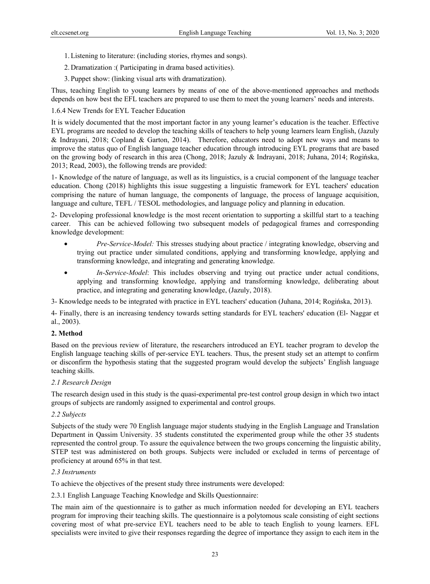- 1.Listening to literature: (including stories, rhymes and songs).
- 2. Dramatization :( Participating in drama based activities).
- 3. Puppet show: (linking visual arts with dramatization).

Thus, teaching English to young learners by means of one of the above-mentioned approaches and methods depends on how best the EFL teachers are prepared to use them to meet the young learners' needs and interests.

1.6.4 New Trends for EYL Teacher Education

It is widely documented that the most important factor in any young learner's education is the teacher. Effective EYL programs are needed to develop the teaching skills of teachers to help young learners learn English, (Jazuly & Indrayani, 2018; Copland & Garton, 2014). Therefore, educators need to adopt new ways and means to improve the status quo of English language teacher education through introducing EYL programs that are based on the growing body of research in this area (Chong, 2018; Jazuly & Indrayani, 2018; Juhana, 2014; Rogińska, 2013; Read, 2003), the following trends are provided:

1- Knowledge of the nature of language, as well as its linguistics, is a crucial component of the language teacher education. Chong (2018) highlights this issue suggesting a linguistic framework for EYL teachers' education comprising the nature of human language, the components of language, the process of language acquisition, language and culture, TEFL / TESOL methodologies, and language policy and planning in education.

2- Developing professional knowledge is the most recent orientation to supporting a skillful start to a teaching career. This can be achieved following two subsequent models of pedagogical frames and corresponding knowledge development:

- *Pre-Service-Model:* This stresses studying about practice / integrating knowledge, observing and trying out practice under simulated conditions, applying and transforming knowledge, applying and transforming knowledge, and integrating and generating knowledge.
- *In-Service-Model*: This includes observing and trying out practice under actual conditions, applying and transforming knowledge, applying and transforming knowledge, deliberating about practice, and integrating and generating knowledge, (Jazuly, 2018).

3- Knowledge needs to be integrated with practice in EYL teachers' education (Juhana, 2014; Rogińska, 2013).

4- Finally, there is an increasing tendency towards setting standards for EYL teachers' education (El- Naggar et al., 2003).

## **2. Method**

Based on the previous review of literature, the researchers introduced an EYL teacher program to develop the English language teaching skills of per-service EYL teachers. Thus, the present study set an attempt to confirm or disconfirm the hypothesis stating that the suggested program would develop the subjects' English language teaching skills.

## *2.1 Research Design*

The research design used in this study is the quasi-experimental pre-test control group design in which two intact groups of subjects are randomly assigned to experimental and control groups.

#### *2.2 Subjects*

Subjects of the study were 70 English language major students studying in the English Language and Translation Department in Qassim University. 35 students constituted the experimented group while the other 35 students represented the control group. To assure the equivalence between the two groups concerning the linguistic ability, STEP test was administered on both groups. Subjects were included or excluded in terms of percentage of proficiency at around 65% in that test.

#### *2.3 Instruments*

To achieve the objectives of the present study three instruments were developed:

2.3.1 English Language Teaching Knowledge and Skills Questionnaire:

The main aim of the questionnaire is to gather as much information needed for developing an EYL teachers program for improving their teaching skills. The questionnaire is a polytomous scale consisting of eight sections covering most of what pre-service EYL teachers need to be able to teach English to young learners. EFL specialists were invited to give their responses regarding the degree of importance they assign to each item in the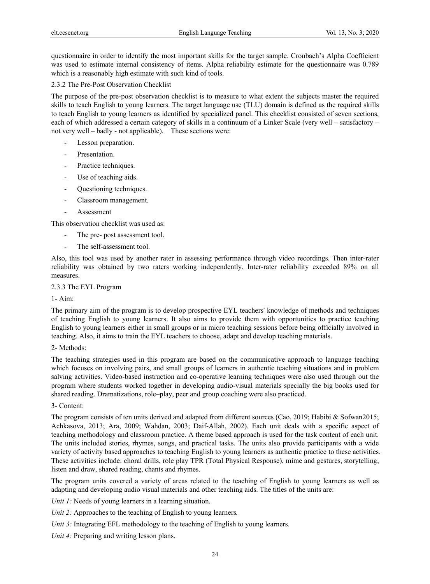questionnaire in order to identify the most important skills for the target sample. Cronbach's Alpha Coefficient was used to estimate internal consistency of items. Alpha reliability estimate for the questionnaire was 0.789 which is a reasonably high estimate with such kind of tools.

#### 2.3.2 The Pre-Post Observation Checklist

The purpose of the pre-post observation checklist is to measure to what extent the subjects master the required skills to teach English to young learners. The target language use (TLU) domain is defined as the required skills to teach English to young learners as identified by specialized panel. This checklist consisted of seven sections, each of which addressed a certain category of skills in a continuum of a Linker Scale (very well – satisfactory – not very well – badly - not applicable). These sections were:

- Lesson preparation.
- Presentation.
- Practice techniques.
- Use of teaching aids.
- Questioning techniques.
- Classroom management.
- **Assessment**

This observation checklist was used as:

- The pre- post assessment tool.
- The self-assessment tool.

Also, this tool was used by another rater in assessing performance through video recordings. Then inter-rater reliability was obtained by two raters working independently. Inter-rater reliability exceeded 89% on all measures.

## 2.3.3 The EYL Program

#### 1- Aim:

The primary aim of the program is to develop prospective EYL teachers' knowledge of methods and techniques of teaching English to young learners. It also aims to provide them with opportunities to practice teaching English to young learners either in small groups or in micro teaching sessions before being officially involved in teaching. Also, it aims to train the EYL teachers to choose, adapt and develop teaching materials.

#### 2- Methods:

The teaching strategies used in this program are based on the communicative approach to language teaching which focuses on involving pairs, and small groups of learners in authentic teaching situations and in problem salving activities. Video-based instruction and co-operative learning techniques were also used through out the program where students worked together in developing audio-visual materials specially the big books used for shared reading. Dramatizations, role–play, peer and group coaching were also practiced.

## 3- Content:

The program consists of ten units derived and adapted from different sources (Cao, 2019; Habibi & Sofwan2015; Achkasova, 2013; Ara, 2009; Wahdan, 2003; Daif-Allah, 2002). Each unit deals with a specific aspect of teaching methodology and classroom practice. A theme based approach is used for the task content of each unit. The units included stories, rhymes, songs, and practical tasks. The units also provide participants with a wide variety of activity based approaches to teaching English to young learners as authentic practice to these activities. These activities include: choral drills, role play TPR (Total Physical Response), mime and gestures, storytelling, listen and draw, shared reading, chants and rhymes.

The program units covered a variety of areas related to the teaching of English to young learners as well as adapting and developing audio visual materials and other teaching aids. The titles of the units are:

*Unit 1:* Needs of young learners in a learning situation.

*Unit 2:* Approaches to the teaching of English to young learners.

*Unit 3:* Integrating EFL methodology to the teaching of English to young learners.

*Unit 4:* Preparing and writing lesson plans.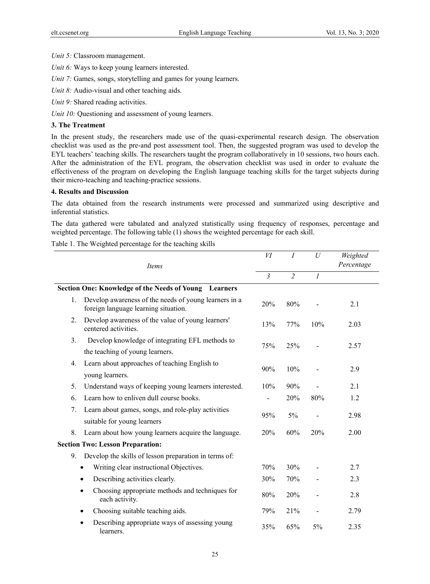*Unit 5:* Classroom management.

*Unit 6:* Ways to keep young learners interested.

*Unit 7:* Games, songs, storytelling and games for young learners.

*Unit 8:* Audio-visual and other teaching aids.

*Unit 9:* Shared reading activities.

*Unit 10:* Questioning and assessment of young learners.

#### **3. The Treatment**

In the present study, the researchers made use of the quasi-experimental research design. The observation checklist was used as the pre-and post assessment tool. Then, the suggested program was used to develop the EYL teachers' teaching skills. The researchers taught the program collaboratively in 10 sessions, two hours each. After the administration of the EYL program, the observation checklist was used in order to evaluate the effectiveness of the program on developing the English language teaching skills for the target subjects during their micro-teaching and teaching-practice sessions.

#### **4. Results and Discussion**

The data obtained from the research instruments were processed and summarized using descriptive and inferential statistics.

The data gathered were tabulated and analyzed statistically using frequency of responses, percentage and weighted percentage. The following table (1) shows the weighted percentage for each skill.

Table 1. The Weighted percentage for the teaching skills

|    |                                                                                               | VI             | $\overline{I}$ | U              | Weighted<br>Percentage |
|----|-----------------------------------------------------------------------------------------------|----------------|----------------|----------------|------------------------|
|    | Items                                                                                         | $\mathfrak{Z}$ | $\overline{2}$ | $\mathcal{I}$  |                        |
|    | Section One: Knowledge of the Needs of Young Learners                                         |                |                |                |                        |
| 1. | Develop awareness of the needs of young learners in a<br>foreign language learning situation. | 20%            | 80%            |                | 2.1                    |
| 2. | Develop awareness of the value of young learners'<br>centered activities.                     | 13%            | 77%            | 10%            | 2.03                   |
| 3. | Develop knowledge of integrating EFL methods to<br>the teaching of young learners.            | 75%            | 25%            |                | 2.57                   |
| 4. | Learn about approaches of teaching English to<br>young learners.                              | 90%            | 10%            |                | 2.9                    |
| 5. | Understand ways of keeping young learners interested.                                         | 10%            | 90%            |                | 2.1                    |
| 6. | Learn how to enliven dull course books.                                                       |                | 20%            | 80%            | 1.2                    |
| 7. | Learn about games, songs, and role-play activities<br>suitable for young learners             | 95%            | 5%             |                | 2.98                   |
| 8. | Learn about how young learners acquire the language.                                          | 20%            | 60%            | 20%            | 2.00                   |
|    | <b>Section Two: Lesson Preparation:</b>                                                       |                |                |                |                        |
| 9. | Develop the skills of lesson preparation in terms of:                                         |                |                |                |                        |
|    | Writing clear instructional Objectives.                                                       | 70%            | 30%            |                | 2.7                    |
|    | Describing activities clearly.<br>$\bullet$                                                   | 30%            | 70%            |                | 2.3                    |
|    | Choosing appropriate methods and techniques for<br>each activity.                             | 80%            | 20%            |                | 2.8                    |
|    | Choosing suitable teaching aids.                                                              | 79%            | 21%            | $\blacksquare$ | 2.79                   |
|    | Describing appropriate ways of assessing young<br>learners.                                   | 35%            | 65%            | 5%             | 2.35                   |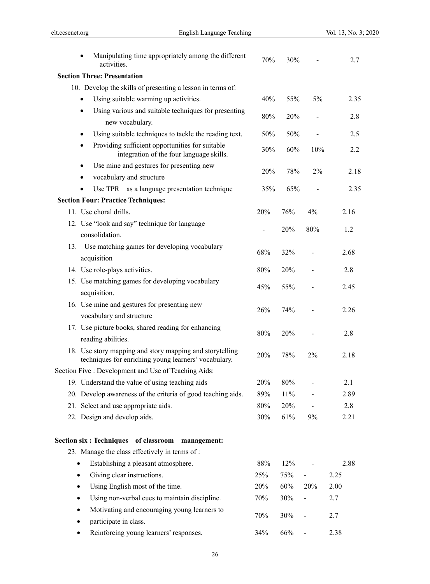| Manipulating time appropriately among the different<br>$\bullet$<br>activities.                                  | 70% | 30% |     | 2.7  |
|------------------------------------------------------------------------------------------------------------------|-----|-----|-----|------|
| <b>Section Three: Presentation</b>                                                                               |     |     |     |      |
| 10. Develop the skills of presenting a lesson in terms of:                                                       |     |     |     |      |
| Using suitable warming up activities.<br>$\bullet$                                                               | 40% | 55% | 5%  | 2.35 |
| Using various and suitable techniques for presenting<br>$\bullet$<br>new vocabulary.                             | 80% | 20% |     | 2.8  |
| Using suitable techniques to tackle the reading text.<br>٠                                                       | 50% | 50% |     | 2.5  |
| Providing sufficient opportunities for suitable<br>٠<br>integration of the four language skills.                 | 30% | 60% | 10% | 2.2  |
| Use mine and gestures for presenting new<br>$\bullet$                                                            |     |     |     |      |
| vocabulary and structure<br>٠                                                                                    | 20% | 78% | 2%  | 2.18 |
| Use TPR as a language presentation technique                                                                     | 35% | 65% |     | 2.35 |
| <b>Section Four: Practice Techniques:</b>                                                                        |     |     |     |      |
| 11. Use choral drills.                                                                                           | 20% | 76% | 4%  | 2.16 |
| 12. Use "look and say" technique for language<br>consolidation.                                                  |     | 20% | 80% | 1.2  |
| Use matching games for developing vocabulary<br>13.<br>acquisition                                               | 68% | 32% |     | 2.68 |
| 14. Use role-plays activities.                                                                                   | 80% | 20% |     | 2.8  |
| 15. Use matching games for developing vocabulary<br>acquisition.                                                 | 45% | 55% |     | 2.45 |
| 16. Use mine and gestures for presenting new                                                                     |     |     |     |      |
| vocabulary and structure                                                                                         | 26% | 74% |     | 2.26 |
| 17. Use picture books, shared reading for enhancing<br>reading abilities.                                        | 80% | 20% |     | 2.8  |
| 18. Use story mapping and story mapping and storytelling<br>techniques for enriching young learners' vocabulary. | 20% | 78% | 2%  | 2.18 |
| Section Five : Development and Use of Teaching Aids:                                                             |     |     |     |      |
| 19. Understand the value of using teaching aids                                                                  | 20% | 80% |     | 2.1  |
| 20. Develop awareness of the criteria of good teaching aids.                                                     | 89% | 11% |     | 2.89 |
| 21. Select and use appropriate aids.                                                                             | 80% | 20% |     | 2.8  |
| 22. Design and develop aids.                                                                                     | 30% | 61% | 9%  | 2.21 |
| Section six: Techniques of classroom management:                                                                 |     |     |     |      |
| 23. Manage the class effectively in terms of:                                                                    |     |     |     |      |
| Establishing a pleasant atmosphere.<br>$\bullet$                                                                 | 88% | 12% |     | 2.88 |
| Giving clear instructions.<br>٠                                                                                  | 25% | 75% |     | 2.25 |
| Using English most of the time.<br>٠                                                                             | 20% | 60% | 20% | 2.00 |
| Using non-verbal cues to maintain discipline.                                                                    | 70% | 30% |     | 2.7  |
| Motivating and encouraging young learners to<br>participate in class.                                            | 70% | 30% |     | 2.7  |
| Reinforcing young learners' responses.<br>٠                                                                      | 34% | 66% |     | 2.38 |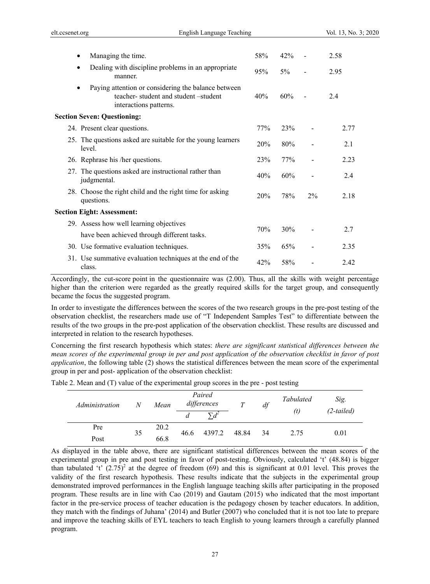| Managing the time.                                                                                                   | 58% | 42%   |                | 2.58 |
|----------------------------------------------------------------------------------------------------------------------|-----|-------|----------------|------|
| Dealing with discipline problems in an appropriate<br>manner.                                                        | 95% | $5\%$ | $\blacksquare$ | 2.95 |
| Paying attention or considering the balance between<br>teacher-student and student-student<br>interactions patterns. | 40% | 60%   | $\overline{a}$ | 24   |
| <b>Section Seven: Questioning:</b>                                                                                   |     |       |                |      |
| 24. Present clear questions.                                                                                         | 77% | 23%   |                | 2.77 |
| 25. The questions asked are suitable for the young learners<br>level.                                                | 20% | 80%   |                | 2.1  |
| 26. Rephrase his /her questions.                                                                                     | 23% | 77%   |                | 2.23 |
| 27. The questions asked are instructional rather than<br>judgmental.                                                 | 40% | 60%   |                | 2.4  |
| 28. Choose the right child and the right time for asking<br>questions.                                               | 20% | 78%   | $2\%$          | 2.18 |
| <b>Section Eight: Assessment:</b>                                                                                    |     |       |                |      |
| 29. Assess how well learning objectives                                                                              |     |       |                |      |
| have been achieved through different tasks.                                                                          | 70% | 30%   |                | 2.7  |
| 30. Use formative evaluation techniques.                                                                             | 35% | 65%   |                | 2.35 |
| 31. Use summative evaluation techniques at the end of the<br>class.                                                  | 42% | 58%   |                | 2.42 |

Accordingly, the cut-score point in the questionnaire was (2.00). Thus, all the skills with weight percentage higher than the criterion were regarded as the greatly required skills for the target group, and consequently became the focus the suggested program.

In order to investigate the differences between the scores of the two research groups in the pre-post testing of the observation checklist, the researchers made use of "T Independent Samples Test" to differentiate between the results of the two groups in the pre-post application of the observation checklist. These results are discussed and interpreted in relation to the research hypotheses.

Concerning the first research hypothesis which states: *there are significant statistical differences between the mean scores of the experimental group in per and post application of the observation checklist in favor of post application*, the following table (2) shows the statistical differences between the mean score of the experimental group in per and post- application of the observation checklist:

| Table 2. Mean and (T) value of the experimental group scores in the pre - post testing |  |  |  |
|----------------------------------------------------------------------------------------|--|--|--|
|                                                                                        |  |  |  |

| Administration | N  | Mean |      | Paired<br>differences |       | df   | Tabulated<br>(t) | Sig.<br>$(2-tailed)$ |
|----------------|----|------|------|-----------------------|-------|------|------------------|----------------------|
| Pre            | 35 | 20.2 |      | 4397.2                |       |      |                  |                      |
| Post           |    | 66.8 | 46.6 |                       | 48.84 | - 34 | 2.75             | 0.01                 |

As displayed in the table above, there are significant statistical differences between the mean scores of the experimental group in pre and post testing in favor of post-testing. Obviously, calculated 't' (48.84) is bigger than tabulated 't'  $(2.75)^2$  at the degree of freedom (69) and this is significant at 0.01 level. This proves the validity of the first research hypothesis. These results indicate that the subjects in the experimental group demonstrated improved performances in the English language teaching skills after participating in the proposed program. These results are in line with Cao (2019) and Gautam (2015) who indicated that the most important factor in the pre-service process of teacher education is the pedagogy chosen by teacher educators. In addition, they match with the findings of Juhana' (2014) and Butler (2007) who concluded that it is not too late to prepare and improve the teaching skills of EYL teachers to teach English to young learners through a carefully planned program.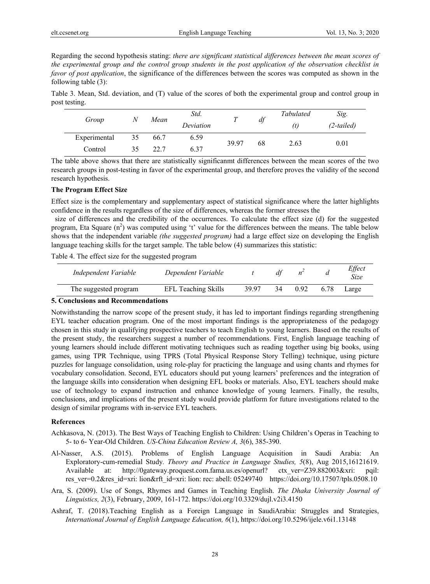Regarding the second hypothesis stating: *there are significant statistical differences between the mean scores of the experimental group and the control group students in the post application of the observation checklist in favor of post application*, the significance of the differences between the scores was computed as shown in the following table (3):

Table 3. Mean, Std. deviation, and (T) value of the scores of both the experimental group and control group in post testing.

| Group        |    | Mean | Std.<br>Deviation |       | df | Tabulated<br>(t) | Sig.<br>$(2-tailed)$ |
|--------------|----|------|-------------------|-------|----|------------------|----------------------|
| Experimental | 35 | 66.7 | 6.59              | 39.97 |    |                  | 0.01                 |
| Control      | 35 | 22.7 | 6.37              |       | 68 | 2.63             |                      |

The table above shows that there are statistically significanmt differences between the mean scores of the two research groups in post-testing in favor of the experimental group, and therefore proves the validity of the second research hypothesis.

#### **The Program Effect Size**

Effect size is the complementary and supplementary aspect of statistical significance where the latter highlights confidence in the results regardless of the size of differences, whereas the former stresses the

 size of differences and the credibility of the occurrences. To calculate the effect size (d) for the suggested program, Eta Square  $(n^2)$  was computed using 't' value for the differences between the means. The table below shows that the independent variable *(the suggested program)* had a large effect size on developing the English language teaching skills for the target sample. The table below (4) summarizes this statistic:

Table 4. The effect size for the suggested program

| Independent Variable  | Dependent Variable         |       | df |      |      | Effect<br>Size |
|-----------------------|----------------------------|-------|----|------|------|----------------|
| The suggested program | <b>EFL Teaching Skills</b> | 39 97 | 34 | 0.92 | 6.78 | Large          |

## **5. Conclusions and Recommendations**

Notwithstanding the narrow scope of the present study, it has led to important findings regarding strengthening EYL teacher education program. One of the most important findings is the appropriateness of the pedagogy chosen in this study in qualifying prospective teachers to teach English to young learners. Based on the results of the present study, the researchers suggest a number of recommendations. First, English language teaching of young learners should include different motivating techniques such as reading together using big books, using games, using TPR Technique, using TPRS (Total Physical Response Story Telling) technique, using picture puzzles for language consolidation, using role-play for practicing the language and using chants and rhymes for vocabulary consolidation. Second, EYL educators should put young learners' preferences and the integration of the language skills into consideration when designing EFL books or materials. Also, EYL teachers should make use of technology to expand instruction and enhance knowledge of young learners. Finally, the results, conclusions, and implications of the present study would provide platform for future investigations related to the design of similar programs with in-service EYL teachers.

## **References**

- Achkasova, N. (2013). The Best Ways of Teaching English to Children: Using Children's Operas in Teaching to 5- to 6- Year-Old Children. *US-China Education Review A, 3*(6), 385-390.
- Al-Nasser, A.S. (2015). Problems of English Language Acquisition in Saudi Arabia: An Exploratory-cum-remedial Study*. Theory and Practice in Language Studies, 5*(8), Aug 2015,16121619. Available at: http://0gateway.proquest.com.fama.us.es/openurl? ctx ver=Z39.882003&xri: pqil: res\_ver=0.2&res\_id=xri: lion&rft\_id=xri: lion: rec: abell: 05249740 https://doi.org/10.17507/tpls.0508.10
- Ara, S. (2009). Use of Songs, Rhymes and Games in Teaching English. *The Dhaka University Journal of Linguistics, 2*(3), February, 2009, 161-172. https://doi.org/10.3329/dujl.v2i3.4150
- Ashraf, T. (2018).Teaching English as a Foreign Language in SaudiArabia: Struggles and Strategies, *International Journal of English Language Education, 6*(1), https://doi.org/10.5296/ijele.v6i1.13148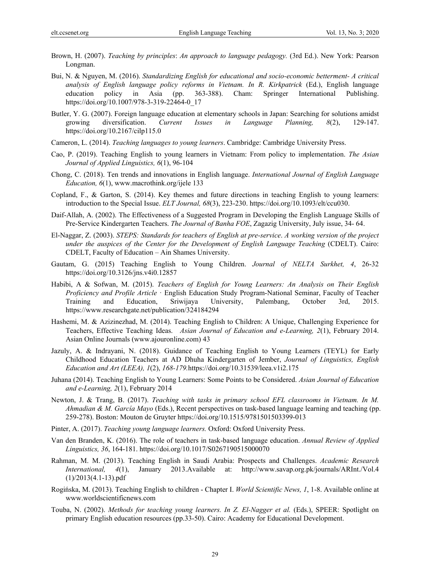- Brown, H. (2007). *Teaching by principles*: *An approach to language pedagogy.* (3rd Ed.). New York: Pearson Longman.
- Bui, N. & Nguyen, M. (2016). *Standardizing English for educational and socio-economic betterment- A critical analysis of English language policy reforms in Vietnam. In R. Kirkpatrick* (Ed.), English language education policy in Asia (pp. 363-388). Cham: Springer International Publishing. https://doi.org/10.1007/978-3-319-22464-0\_17
- Butler, Y. G. (2007). Foreign language education at elementary schools in Japan: Searching for solutions amidst growing diversification. *Current Issues in Language Planning, 8*(2), 129-147. https://doi.org/10.2167/cilp115.0
- Cameron, L. (2014). *Teaching languages to young learners*. Cambridge: Cambridge University Press.
- Cao, P. (2019). Teaching English to young learners in Vietnam: From policy to implementation. *The Asian Journal of Applied Linguistics, 6*(1), 96-104
- Chong, C. (2018). Ten trends and innovations in English language. *International Journal of English Language Education, 6*(1), www.macrothink.org/ijele 133
- Copland, F., & Garton, S. (2014). Key themes and future directions in teaching English to young learners: introduction to the Special Issue. *ELT Journal, 68*(3), 223-230. https://doi.org/10.1093/elt/ccu030.
- Daif-Allah, A. (2002). The Effectiveness of a Suggested Program in Developing the English Language Skills of Pre-Service Kindergarten Teachers. *The Journal of Banha FOE*, Zagazig University, July issue, 34- 64.
- El-Naggar, Z. (2003). *STEPS: Standards for teachers of English at pre-service*. *A working version of the project under the auspices of the Center for the Development of English Language Teaching* (CDELT). Cairo: CDELT, Faculty of Education – Ain Shames University.
- Gautam, G. (2015) Teaching English to Young Children. *Journal of NELTA Surkhet, 4*, 26-32 https://doi.org/10.3126/jns.v4i0.12857
- Habibi, A & Sofwan, M. (2015). *Teachers of English for Young Learners: An Analysis on Their English Proficiency and Profile Article* · English Education Study Program-National Seminar, Faculty of Teacher Training and Education, Sriwijaya University, Palembang, October 3rd, 2015. https://www.researchgate.net/publication/324184294
- Hashemi, M. & Azizinezhad, M. (2014). Teaching English to Children: A Unique, Challenging Experience for Teachers, Effective Teaching Ideas. *Asian Journal of Education and e-Learning, 2*(1), February 2014. Asian Online Journals (www.ajouronline.com) 43
- Jazuly, A. & Indrayani, N. (2018). Guidance of Teaching English to Young Learners (TEYL) for Early Childhood Education Teachers at AD Dhuha Kindergarten of Jember, *Journal of Linguistics, English Education and Art (LEEA), 1*(2), *168-179.*https://doi.org/10.31539/leea.v1i2.175
- Juhana (2014). Teaching English to Young Learners: Some Points to be Considered. *Asian Journal of Education and e-Learning, 2*(1), February 2014
- Newton, J. & Trang, B. (2017). *Teaching with tasks in primary school EFL classrooms in Vietnam. In M. Ahmadian & M. García Mayo* (Eds.), Recent perspectives on task-based language learning and teaching (pp. 259-278). Boston: Mouton de Gruyter https://doi.org/10.1515/9781501503399-013
- Pinter, A. (2017). *Teaching young language learners.* Oxford: Oxford University Press.
- Van den Branden, K. (2016). The role of teachers in task-based language education. *Annual Review of Applied Linguistics, 36*, 164-181. https://doi.org/10.1017/S0267190515000070
- Rahman, M. M. (2013). Teaching English in Saudi Arabia: Prospects and Challenges. *Academic Research International, 4*(1), January 2013.Available at: http://www.savap.org.pk/journals/ARInt./Vol.4 (1)/2013(4.1-13).pdf
- Rogińska, M. (2013). Teaching English to children Chapter I. *World Scientific News, 1*, 1-8. Available online at www.worldscientificnews.com
- Touba, N. (2002). *Methods for teaching young learners. In Z. El-Nagger et al.* (Eds.), SPEER: Spotlight on primary English education resources (pp.33-50). Cairo: Academy for Educational Development.